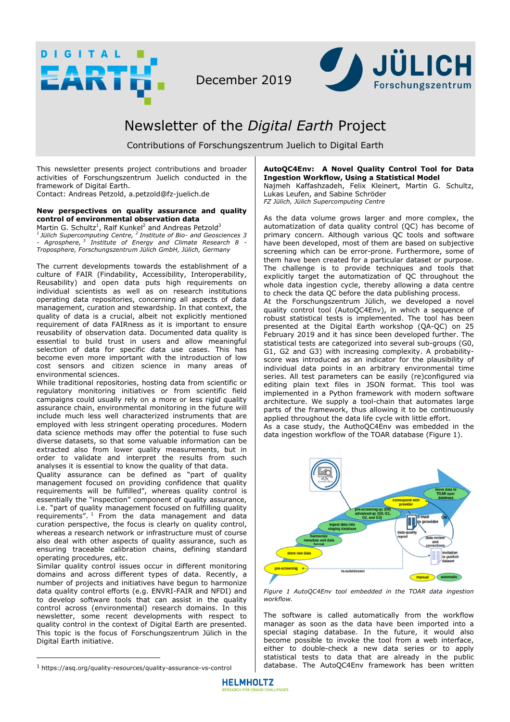

December 2019



# Newsletter of the *Digital Earth* Project

Contributions of Forschungszentrum Juelich to Digital Earth

This newsletter presents project contributions and broader activities of Forschungszentrum Juelich conducted in the framework of Digital Earth.

Contact: Andreas Petzold, a.petzold@fz-juelich.de

## **New perspectives on quality assurance and quality control of environmental observation data**

Martin G. Schultz<sup>1</sup>, Ralf Kunkel<sup>2</sup> and Andreas Petzold<sup>3</sup> *<sup>1</sup>Jülich Supercomputing Centre, <sup>2</sup>Institute of Bio- and Geosciences 3 - Agrosphere, <sup>3</sup> Institute of Energy and Climate Research 8 - Troposphere, Forschungszentrum Jülich GmbH, Jülich, Germany*

The current developments towards the establishment of a culture of FAIR (Findability, Accessibility, Interoperability, Reusability) and open data puts high requirements on individual scientists as well as on research institutions operating data repositories, concerning all aspects of data management, curation and stewardship. In that context, the quality of data is a crucial, albeit not explicitly mentioned requirement of data FAIRness as it is important to ensure reusability of observation data. Documented data quality is essential to build trust in users and allow meaningful selection of data for specific data use cases. This has become even more important with the introduction of low cost sensors and citizen science in many areas of environmental sciences.

While traditional repositories, hosting data from scientific or regulatory monitoring initiatives or from scientific field campaigns could usually rely on a more or less rigid quality assurance chain, environmental monitoring in the future will include much less well characterized instruments that are employed with less stringent operating procedures. Modern data science methods may offer the potential to fuse such diverse datasets, so that some valuable information can be extracted also from lower quality measurements, but in order to validate and interpret the results from such analyses it is essential to know the quality of that data.

Quality assurance can be defined as "part of quality management focused on providing confidence that quality requirements will be fulfilled", whereas quality control is essentially the "inspection" component of quality assurance, i.e. "part of quality management focused on fulfilling quality requirements".  $1$  From the data management and data curation perspective, the focus is clearly on quality control, whereas a research network or infrastructure must of course also deal with other aspects of quality assurance, such as ensuring traceable calibration chains, defining standard operating procedures, etc.

Similar quality control issues occur in different monitoring domains and across different types of data. Recently, a number of projects and initiatives have begun to harmonize data quality control efforts (e.g. ENVRI-FAIR and NFDI) and to develop software tools that can assist in the quality control across (environmental) research domains. In this newsletter, some recent developments with respect to quality control in the context of Digital Earth are presented. This topic is the focus of Forschungszentrum Jülich in the Digital Earth initiative.

 $\overline{a}$ 

**AutoQC4Env: A Novel Quality Control Tool for Data Ingestion Workflow, Using a Statistical Model** Najmeh Kaffashzadeh, Felix Kleinert, Martin G. Schultz,

Lukas Leufen, and Sabine Schröder *FZ Jülich, Jülich Supercomputing Centre*

As the data volume grows larger and more complex, the automatization of data quality control (QC) has become of primary concern. Although various QC tools and software have been developed, most of them are based on subjective screening which can be error-prone. Furthermore, some of them have been created for a particular dataset or purpose. The challenge is to provide techniques and tools that explicitly target the automatization of QC throughout the whole data ingestion cycle, thereby allowing a data centre to check the data QC before the data publishing process. At the Forschungszentrum Jülich, we developed a novel quality control tool (AutoQC4Env), in which a sequence of robust statistical tests is implemented. The tool has been presented at the Digital Earth workshop (QA-QC) on 25 February 2019 and it has since been developed further. The statistical tests are categorized into several sub-groups (G0, G1, G2 and G3) with increasing complexity. A probabilityscore was introduced as an indicator for the plausibility of individual data points in an arbitrary environmental time series. All test parameters can be easily (re)configured via editing plain text files in JSON format. This tool was implemented in a Python framework with modern software architecture. We supply a tool-chain that automates large parts of the framework, thus allowing it to be continuously applied throughout the data life cycle with little effort. As a case study, the AuthoQC4Env was embedded in the

data ingestion workflow of the TOAR database (Figure 1).



*Figure 1 AutoQC4Env tool embedded in the TOAR data ingestion workflow.*

The software is called automatically from the workflow manager as soon as the data have been imported into a special staging database. In the future, it would also become possible to invoke the tool from a web interface, either to double-check a new data series or to apply statistical tests to data that are already in the public database. The AutoQC4Env framework has been written

<sup>1</sup> https://asq.org/quality-resources/quality-assurance-vs-control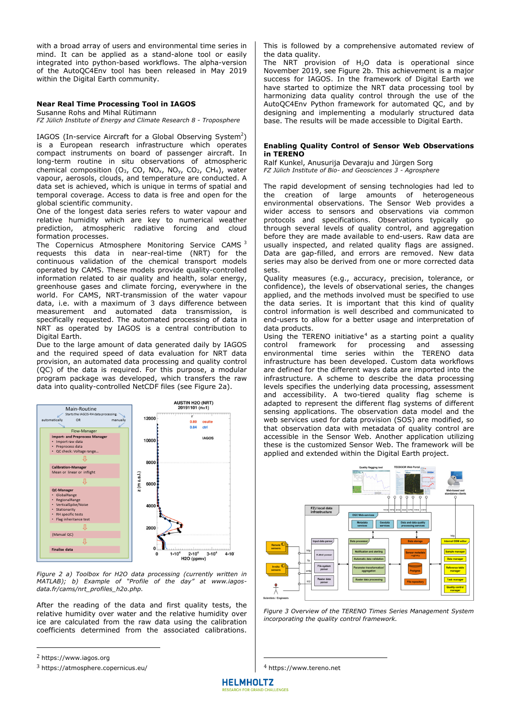with a broad array of users and environmental time series in mind. It can be applied as a stand-alone tool or easily integrated into python-based workflows. The alpha-version of the AutoQC4Env tool has been released in May 2019 within the Digital Earth community.

#### **Near Real Time Processing Tool in IAGOS**

Susanne Rohs and Mihal Rütimann

*FZ Jülich Institute of Energy and Climate Research 8 - Troposphere* 

IAGOS (In-service Aircraft for a Global Observing System<sup>2</sup>) is a European research infrastructure which operates compact instruments on board of passenger aircraft. In long-term routine in situ observations of atmospheric chemical composition (O<sub>3</sub>, CO, NO<sub>x</sub>, NO<sub>y</sub>, CO<sub>2</sub>, CH<sub>4</sub>), water vapour, aerosols, clouds, and temperature are conducted. A data set is achieved, which is unique in terms of spatial and temporal coverage. Access to data is free and open for the global scientific community.

One of the longest data series refers to water vapour and relative humidity which are key to numerical weather prediction, atmospheric radiative forcing and cloud formation processes.

The Copernicus Atmosphere Monitoring Service CAMS<sup>3</sup> requests this data in near-real-time (NRT) for the continuous validation of the chemical transport models operated by CAMS. These models provide quality-controlled information related to air quality and health, solar energy, greenhouse gases and climate forcing, everywhere in the world. For CAMS, NRT-transmission of the water vapour data, i.e. with a maximum of 3 days difference between measurement and automated data transmission, is specifically requested. The automated processing of data in NRT as operated by IAGOS is a central contribution to Digital Earth.

Due to the large amount of data generated daily by IAGOS and the required speed of data evaluation for NRT data provision, an automated data processing and quality control (QC) of the data is required. For this purpose, a modular program package was developed, which transfers the raw data into quality-controlled NetCDF files (see Figure 2a).



*Figure 2 a) Toolbox for H2O data processing (currently written in MATLAB); b) Example of "Profile of the day" at www.iagosdata.fr/cams/nrt\_profiles\_h2o.php.*

After the reading of the data and first quality tests, the relative humidity over water and the relative humidity over ice are calculated from the raw data using the calibration coefficients determined from the associated calibrations.

 $\overline{a}$ 

This is followed by a comprehensive automated review of the data quality.

The NRT provision of H<sub>2</sub>O data is operational since November 2019, see Figure 2b. This achievement is a major success for IAGOS. In the framework of Digital Earth we have started to optimize the NRT data processing tool by harmonizing data quality control through the use of the AutoQC4Env Python framework for automated QC, and by designing and implementing a modularly structured data base. The results will be made accessible to Digital Earth.

## **Enabling Quality Control of Sensor Web Observations in TERENO**

Ralf Kunkel, Anusurija Devaraju and Jürgen Sorg *FZ Jülich Institute of Bio- and Geosciences 3 - Agrosphere*

The rapid development of sensing technologies had led to the creation of large amounts of heterogeneous environmental observations. The Sensor Web provides a wider access to sensors and observations via common protocols and specifications. Observations typically go through several levels of quality control, and aggregation before they are made available to end-users. Raw data are usually inspected, and related quality flags are assigned. Data are gap-filled, and errors are removed. New data series may also be derived from one or more corrected data sets.

Quality measures (e.g., accuracy, precision, tolerance, or confidence), the levels of observational series, the changes applied, and the methods involved must be specified to use the data series. It is important that this kind of quality control information is well described and communicated to end-users to allow for a better usage and interpretation of data products.

Using the TERENO initiative<sup>4</sup> as a starting point a quality control framework for processing and assessing environmental time series within the TERENO data infrastructure has been developed. Custom data workflows are defined for the different ways data are imported into the infrastructure. A scheme to describe the data processing levels specifies the underlying data processing, assessment and accessibility. A two-tiered quality flag scheme is adapted to represent the different flag systems of different sensing applications. The observation data model and the web services used for data provision (SOS) are modified, so that observation data with metadata of quality control are accessible in the Sensor Web. Another application utilizing these is the customized Sensor Web. The framework will be applied and extended within the Digital Earth project.



*Figure 3 Overview of the TERENO Times Series Management System incorporating the quality control framework.* 

<sup>4</sup> https://www.tereno.net

 $\overline{a}$ 

<sup>2</sup> https://www.iagos.org

<sup>3</sup> https://atmosphere.copernicus.eu/